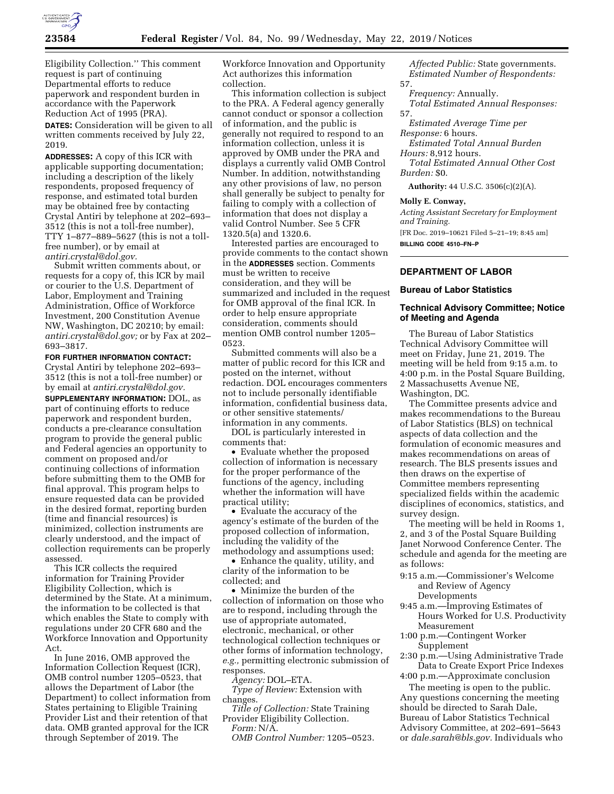

Eligibility Collection.'' This comment request is part of continuing Departmental efforts to reduce paperwork and respondent burden in accordance with the Paperwork Reduction Act of 1995 (PRA).

**DATES:** Consideration will be given to all written comments received by July 22, 2019.

**ADDRESSES:** A copy of this ICR with applicable supporting documentation; including a description of the likely respondents, proposed frequency of response, and estimated total burden may be obtained free by contacting Crystal Antiri by telephone at 202–693– 3512 (this is not a toll-free number), TTY 1–877–889–5627 (this is not a tollfree number), or by email at *[antiri.crystal@dol.gov.](mailto:antiri.crystal@dol.gov)* 

Submit written comments about, or requests for a copy of, this ICR by mail or courier to the U.S. Department of Labor, Employment and Training Administration, Office of Workforce Investment, 200 Constitution Avenue NW, Washington, DC 20210; by email: *[antiri.crystal@dol.gov;](mailto:antiri.crystal@dol.gov)* or by Fax at 202– 693–3817.

**FOR FURTHER INFORMATION CONTACT:**  Crystal Antiri by telephone 202–693– 3512 (this is not a toll-free number) or by email at *[antiri.crystal@dol.gov.](mailto:antiri.crystal@dol.gov)*  **SUPPLEMENTARY INFORMATION:** DOL, as part of continuing efforts to reduce paperwork and respondent burden, conducts a pre-clearance consultation program to provide the general public and Federal agencies an opportunity to comment on proposed and/or continuing collections of information before submitting them to the OMB for final approval. This program helps to ensure requested data can be provided in the desired format, reporting burden (time and financial resources) is minimized, collection instruments are clearly understood, and the impact of collection requirements can be properly assessed.

This ICR collects the required information for Training Provider Eligibility Collection, which is determined by the State. At a minimum, the information to be collected is that which enables the State to comply with regulations under 20 CFR 680 and the Workforce Innovation and Opportunity Act.

In June 2016, OMB approved the Information Collection Request (ICR), OMB control number 1205–0523, that allows the Department of Labor (the Department) to collect information from States pertaining to Eligible Training Provider List and their retention of that data. OMB granted approval for the ICR through September of 2019. The

Workforce Innovation and Opportunity Act authorizes this information collection.

This information collection is subject to the PRA. A Federal agency generally cannot conduct or sponsor a collection of information, and the public is generally not required to respond to an information collection, unless it is approved by OMB under the PRA and displays a currently valid OMB Control Number. In addition, notwithstanding any other provisions of law, no person shall generally be subject to penalty for failing to comply with a collection of information that does not display a valid Control Number. See 5 CFR 1320.5(a) and 1320.6.

Interested parties are encouraged to provide comments to the contact shown in the **ADDRESSES** section. Comments must be written to receive consideration, and they will be summarized and included in the request for OMB approval of the final ICR. In order to help ensure appropriate consideration, comments should mention OMB control number 1205– 0523.

Submitted comments will also be a matter of public record for this ICR and posted on the internet, without redaction. DOL encourages commenters not to include personally identifiable information, confidential business data, or other sensitive statements/ information in any comments.

DOL is particularly interested in comments that:

• Evaluate whether the proposed collection of information is necessary for the proper performance of the functions of the agency, including whether the information will have practical utility;

• Evaluate the accuracy of the agency's estimate of the burden of the proposed collection of information, including the validity of the methodology and assumptions used;

• Enhance the quality, utility, and clarity of the information to be collected; and

• Minimize the burden of the collection of information on those who are to respond, including through the use of appropriate automated, electronic, mechanical, or other technological collection techniques or other forms of information technology, *e.g.,* permitting electronic submission of responses.

*Agency:* DOL–ETA.

*Type of Review:* Extension with changes.

*Title of Collection:* State Training Provider Eligibility Collection.

*Form:* N/A. *OMB Control Number:* 1205–0523.

*Affected Public:* State governments. *Estimated Number of Respondents:*  57.

*Frequency:* Annually. *Total Estimated Annual Responses:*  57.

*Estimated Average Time per Response:* 6 hours.

*Estimated Total Annual Burden Hours:* 8,912 hours.

*Total Estimated Annual Other Cost Burden:* \$0.

**Authority:** 44 U.S.C. 3506(c)(2)(A).

## **Molly E. Conway,**

*Acting Assistant Secretary for Employment and Training.* 

[FR Doc. 2019–10621 Filed 5–21–19; 8:45 am] **BILLING CODE 4510–FN–P** 

# **DEPARTMENT OF LABOR**

#### **Bureau of Labor Statistics**

# **Technical Advisory Committee; Notice of Meeting and Agenda**

The Bureau of Labor Statistics Technical Advisory Committee will meet on Friday, June 21, 2019. The meeting will be held from 9:15 a.m. to 4:00 p.m. in the Postal Square Building, 2 Massachusetts Avenue NE, Washington, DC.

The Committee presents advice and makes recommendations to the Bureau of Labor Statistics (BLS) on technical aspects of data collection and the formulation of economic measures and makes recommendations on areas of research. The BLS presents issues and then draws on the expertise of Committee members representing specialized fields within the academic disciplines of economics, statistics, and survey design.

The meeting will be held in Rooms 1, 2, and 3 of the Postal Square Building Janet Norwood Conference Center. The schedule and agenda for the meeting are as follows:

- 9:15 a.m.—Commissioner's Welcome and Review of Agency Developments
- 9:45 a.m.—Improving Estimates of Hours Worked for U.S. Productivity Measurement
- 1:00 p.m.—Contingent Worker Supplement
- 2:30 p.m.—Using Administrative Trade Data to Create Export Price Indexes

4:00 p.m.—Approximate conclusion

The meeting is open to the public. Any questions concerning the meeting should be directed to Sarah Dale, Bureau of Labor Statistics Technical Advisory Committee, at 202–691–5643 or *[dale.sarah@bls.gov.](mailto:dale.sarah@bls.gov)* Individuals who